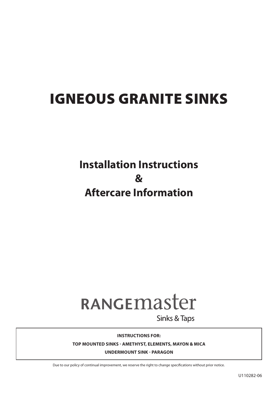## IGNEOUS GRANITE SINKS

## **Installation Instructions & Aftercare Information**

# RANGEMASter

**Sinks & Taps** 

**INSTRUCTIONS FOR:**

**TOP MOUNTED SINKS - AMETHYST, ELEMENTS, MAYON & MICA**

**UNDERMOUNT SINK - PARAGON**

Due to our policy of continual improvement, we reserve the right to change specifications without prior notice.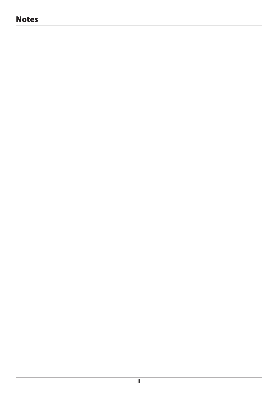## Notes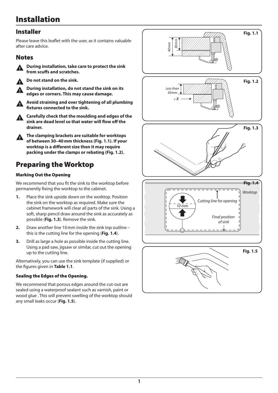## Installation

## Installer

Please leave this leaflet with the user, as it contains valuable after care advice.

#### Notes



During installation, take care to protect the sink **from scuffs and scratches.** 

Do not stand on the sink.

During installation, do not stand the sink on its **edges or corners. This may cause damage.** 



n **Avoid straining and over tightening of all plumbing fixtures connected to the sink.** 

n **Carefully check that the moulding and edges of the sink are dead level so that water will flow off the drainer.**

n **The clamping brackets are suitable for worktops of between 30–40mm thickness (Fig. 1.1). If your worktop is a different size then it may require packing under the clamps or rebating (Fig. 1.2).** 

## Preparing the Worktop

#### Marking Out the Opening

We recommend that you fit the sink to the worktop before permanently fixing the worktop to the cabinet.

- **1.** Place the sink upside down on the worktop. Position the sink on the worktop as required. Make sure the cabinet framework will clear all parts of the sink. Using a soft, sharp pencil draw around the sink as accurately as possible (**Fig. 1.3**). Remove the sink.
- **2.** Draw another line 10mm inside the sink top outline this is the cutting line for the opening (**Fig. 1.4**).
- **3.** Drill as large a hole as possible inside the cutting line. Using a pad saw, jigsaw or similar, cut out the opening up to the cutting line.

Alternatively, you can use the sink template (if supplied) or the figures given in **Table 1.1**.

#### Sealing the Edges of the Opening.

We recommend that porous edges around the cut-out are sealed using a waterproof sealant such as varnish, paint or wood glue . This will prevent swelling of the worktop should any small leaks occur (**Fig. 1.5**).

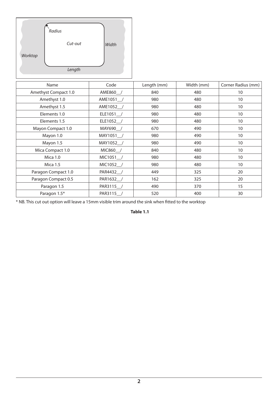|         | Radius  |       |
|---------|---------|-------|
| Worktop | Cut-out | Width |
|         | Length  |       |

| Name                 | Code      | Length (mm) | Width (mm) | Corner Radius (mm) |
|----------------------|-----------|-------------|------------|--------------------|
| Amethyst Compact 1.0 | AME860_/  | 840         | 480        | 10                 |
| Amethyst 1.0         | AME1051 / | 980         | 480        | 10                 |
| Amethyst 1.5         | AME1052_/ | 980         | 480        | 10                 |
| Elements 1.0         | ELE1051_/ | 980         | 480        | 10                 |
| Elements 1.5         | ELE1052_/ | 980         | 480        | 10                 |
| Mayon Compact 1.0    | MAY690_/  | 670         | 490        | 10                 |
| Mayon 1.0            | MAY1051 / | 980         | 490        | 10                 |
| Mayon 1.5            | MAY1052_/ | 980         | 490        | 10                 |
| Mica Compact 1.0     | MIC860 /  | 840         | 480        | 10                 |
| <b>Mica 1.0</b>      | MIC1051_/ | 980         | 480        | 10                 |
| <b>Mica 1.5</b>      | MIC1052 / | 980         | 480        | 10                 |
| Paragon Compact 1.0  | PAR4432 / | 449         | 325        | 20                 |
| Paragon Compact 0.5  | PAR1632 / | 162         | 325        | 20                 |
| Paragon 1.5          | PAR3115   | 490         | 370        | 15                 |
| Paragon 1.5*         | PAR3115   | 520         | 400        | 30                 |

\* NB. This cut out option will leave a 15mm visible trim around the sink when fitted to the worktop

**Table 1.1**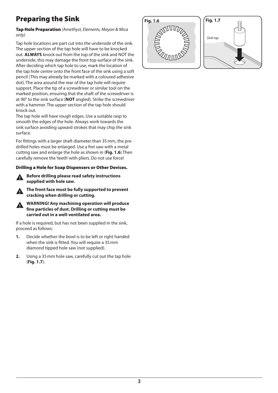## Preparing the Sink

#### Tap Hole Preparation *(Amethyst, Elements, Mayon & Mica only)*

Tap hole locations are part cut into the underside of the sink. The upper section of the tap hole will have to be knocked out. **ALWAYS** knock out from the top of the sink and NOT the underside, this may damage the front top surface of the sink. After deciding which tap hole to use, mark the location of the tap hole centre onto the front face of the sink using a soft pencil (This may already be marked with a coloured adhesive dot). The area around the rear of the tap hole will require support. Place the tip of a screwdriver or similar tool on the marked position, ensuring that the shaft of the screwdriver is at 90° to the sink surface (**NOT** angled). Strike the screwdriver with a hammer. The upper section of the tap hole should knock out.

The tap hole will have rough edges. Use a suitable rasp to smooth the edges of the hole. Always work towards the sink surface avoiding upward strokes that may chip the sink surface.

For fittings with a larger shaft diameter than 35mm, the predrilled holes must be enlarged. Use a fret saw with a metal cutting saw and enlarge the hole as shown in (**Fig. 1.6**) Then carefully remove the 'teeth' with pliers. Do not use force!

#### Drilling a Hole for Soap Dispensers or Other Devices.

n **Before drilling please read safety instructions supplied with hole saw.**

n **The front face must be fully supported to prevent cracking when drilling or cutting.**

**n** WARNING! Any machining operation will produce **fine particles of dust. Drilling or cutting must be carried out in a well-ventilated area.** 

If a hole is required, but has not been supplied in the sink, proceed as follows:

- **1.** Decide whether the bowl is to be left or right handed when the sink is fitted. You will require a 35mm diamond tipped hole saw (not supplied).
- **2.** Using a 35mm hole saw, carefully cut out the tap hole (**Fig. 1.7**).



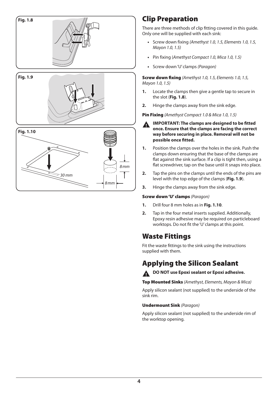

## Clip Preparation

There are three methods of clip fitting covered in this guide. Only one will be supplied with each sink:

- **•** Screw down fixing *(Amethyst 1.0, 1.5, Elements 1.0, 1.5, Mayon 1.0, 1.5)*
- **•** Pin fixing (*Amethyst Compact 1.0, Mica 1.0, 1.5)*
- **•** Screw down 'U' clamps *(Paragon)*

Screw down fixing *(Amethyst 1.0, 1.5, Elements 1.0, 1.5, Mayon 1.0, 1.5)*

- **1.** Locate the clamps then give a gentle tap to secure in the slot (**Fig. 1.8**).
- **2.** Hinge the clamps away from the sink edge.

Pin Fixing *(Amethyst Compact 1.0 & Mica 1.0, 1.5)*

- **n IMPORTANT: The clamps are designed to be fitted once. Ensure that the clamps are facing the correct way before securing in place. Removal will not be possible once fitted.**
- **1.** Position the clamps over the holes in the sink. Push the clamps down ensuring that the base of the clamps are flat against the sink surface. If a clip is tight then, using a flat screwdriver, tap on the base until it snaps into place.
- **2.** Tap the pins on the clamps until the ends of the pins are level with the top edge of the clamps (**Fig. 1.9**).
- **3.** Hinge the clamps away from the sink edge.

#### Screw down 'U' clamps *(Paragon)*

- **1.** Drill four 8 mm holes as in **Fig. 1.10**.
- **2.** Tap in the four metal inserts supplied. Additionally, Epoxy resin adhesive may be required on particleboard worktops. Do not fit the 'U' clamps at this point.

## Waste Fittings

Fit the waste fittings to the sink using the instructions supplied with them.

## Applying the Silicon Sealant



Top Mounted Sinks *(Amethyst, Elements, Mayon & Mica)*

Apply silicon sealant (not supplied) to the underside of the sink rim.

#### Undermount Sink *(Paragon)*

Apply silicon sealant (not supplied) to the underside rim of the worktop opening.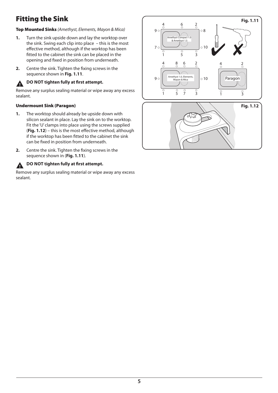## Fitting the Sink

#### Top Mounted Sinks *(Amethyst, Elements, Mayon & Mica)*

- **1.** Turn the sink upside down and lay the worktop over the sink. Swing each clip into place – this is the most effective method, although if the worktop has been fitted to the cabinet the sink can be placed in the opening and fixed in position from underneath.
- **2.** Centre the sink. Tighten the fixing screws in the sequence shown in **Fig. 1.11**.

### **n** DO NOT tighten fully at first attempt.

Remove any surplus sealing material or wipe away any excess sealant.

#### Undermount Sink (Paragon)

- **1.** The worktop should already be upside down with silicon sealant in place. Lay the sink on to the worktop. Fit the 'U' clamps into place using the screws supplied (**Fig. 1.12**) – this is the most effective method, although if the worktop has been fitted to the cabinet the sink can be fixed in position from underneath.
- **2.** Centre the sink. Tighten the fixing screws in the sequence shown in (**Fig. 1.11**).



#### **n** DO NOT tighten fully at first attempt.

Remove any surplus sealing material or wipe away any excess sealant.